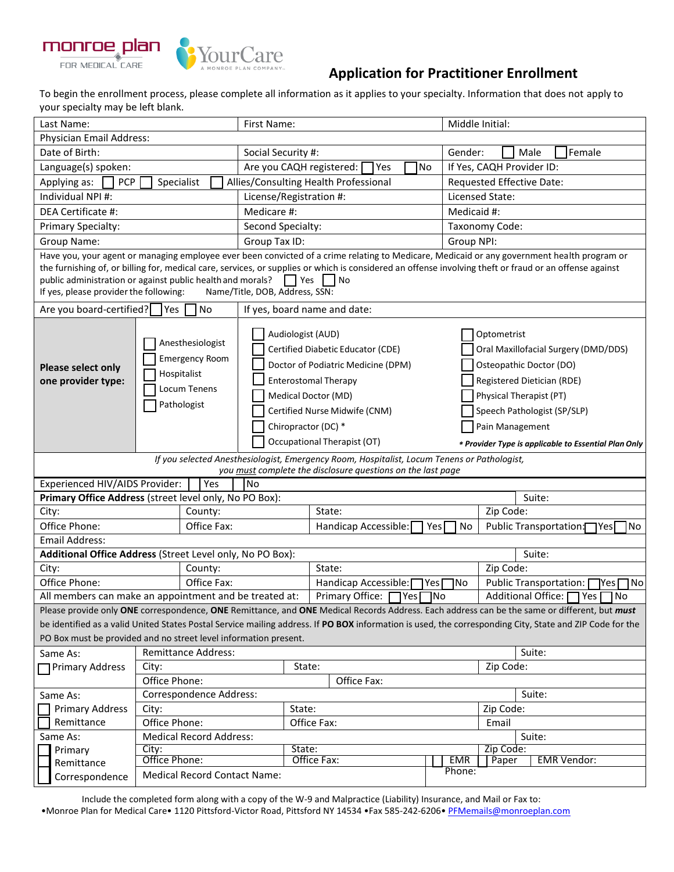

# **Application for Practitioner Enrollment**

To begin the enrollment process, please complete all information as it applies to your specialty. Information that does not apply to your specialty may be left blank.

| Last Name:                                                                                                                                                                                                                                                                                                                                                                                                     |                                                        |                                     | First Name:                    |                                                                                                                                                                                                                                           |             | Middle Initial:                                                                                                                                            |                         |                                                                                                                                                                                                                                    |             |                           |                        |                           |      |     |
|----------------------------------------------------------------------------------------------------------------------------------------------------------------------------------------------------------------------------------------------------------------------------------------------------------------------------------------------------------------------------------------------------------------|--------------------------------------------------------|-------------------------------------|--------------------------------|-------------------------------------------------------------------------------------------------------------------------------------------------------------------------------------------------------------------------------------------|-------------|------------------------------------------------------------------------------------------------------------------------------------------------------------|-------------------------|------------------------------------------------------------------------------------------------------------------------------------------------------------------------------------------------------------------------------------|-------------|---------------------------|------------------------|---------------------------|------|-----|
| Physician Email Address:                                                                                                                                                                                                                                                                                                                                                                                       |                                                        |                                     |                                |                                                                                                                                                                                                                                           |             |                                                                                                                                                            |                         |                                                                                                                                                                                                                                    |             |                           |                        |                           |      |     |
| Date of Birth:                                                                                                                                                                                                                                                                                                                                                                                                 |                                                        |                                     | Social Security #:<br>Gender:  |                                                                                                                                                                                                                                           |             |                                                                                                                                                            |                         | Male                                                                                                                                                                                                                               |             | Female                    |                        |                           |      |     |
| Language(s) spoken:                                                                                                                                                                                                                                                                                                                                                                                            |                                                        |                                     | Are you CAQH registered:       |                                                                                                                                                                                                                                           |             | Yes                                                                                                                                                        | No                      |                                                                                                                                                                                                                                    |             | If Yes, CAQH Provider ID: |                        |                           |      |     |
| Applying as:<br><b>PCP</b>                                                                                                                                                                                                                                                                                                                                                                                     | Specialist                                             |                                     |                                |                                                                                                                                                                                                                                           |             | Allies/Consulting Health Professional                                                                                                                      |                         |                                                                                                                                                                                                                                    |             | Requested Effective Date: |                        |                           |      |     |
| Individual NPI #:                                                                                                                                                                                                                                                                                                                                                                                              |                                                        |                                     | License/Registration #:        |                                                                                                                                                                                                                                           |             |                                                                                                                                                            |                         |                                                                                                                                                                                                                                    |             | Licensed State:           |                        |                           |      |     |
| DEA Certificate #:                                                                                                                                                                                                                                                                                                                                                                                             |                                                        |                                     | Medicare #:                    |                                                                                                                                                                                                                                           |             |                                                                                                                                                            |                         |                                                                                                                                                                                                                                    | Medicaid #: |                           |                        |                           |      |     |
| Primary Specialty:                                                                                                                                                                                                                                                                                                                                                                                             |                                                        |                                     | Second Specialty:              |                                                                                                                                                                                                                                           |             |                                                                                                                                                            |                         |                                                                                                                                                                                                                                    |             | Taxonomy Code:            |                        |                           |      |     |
| Group Name:                                                                                                                                                                                                                                                                                                                                                                                                    |                                                        |                                     | Group Tax ID:                  |                                                                                                                                                                                                                                           |             |                                                                                                                                                            |                         |                                                                                                                                                                                                                                    | Group NPI:  |                           |                        |                           |      |     |
| Have you, your agent or managing employee ever been convicted of a crime relating to Medicare, Medicaid or any government health program or<br>the furnishing of, or billing for, medical care, services, or supplies or which is considered an offense involving theft or fraud or an offense against<br>public administration or against public health and morals?<br>If yes, please provider the following: |                                                        |                                     | Name/Title, DOB, Address, SSN: | $ $ Yes                                                                                                                                                                                                                                   |             | No                                                                                                                                                         |                         |                                                                                                                                                                                                                                    |             |                           |                        |                           |      |     |
| Are you board-certified?                                                                                                                                                                                                                                                                                                                                                                                       | Yes                                                    | No                                  | If yes, board name and date:   |                                                                                                                                                                                                                                           |             |                                                                                                                                                            |                         |                                                                                                                                                                                                                                    |             |                           |                        |                           |      |     |
| Anesthesiologist<br><b>Emergency Room</b><br><b>Please select only</b><br>Hospitalist<br>one provider type:<br>Locum Tenens<br>Pathologist                                                                                                                                                                                                                                                                     |                                                        |                                     |                                | Audiologist (AUD)<br>Certified Diabetic Educator (CDE)<br>Doctor of Podiatric Medicine (DPM)<br><b>Enterostomal Therapy</b><br>Medical Doctor (MD)<br>Certified Nurse Midwife (CNM)<br>Chiropractor (DC) *<br>Occupational Therapist (OT) |             |                                                                                                                                                            | Optometrist             | Oral Maxillofacial Surgery (DMD/DDS)<br>Osteopathic Doctor (DO)<br>Registered Dietician (RDE)<br>Physical Therapist (PT)<br>Speech Pathologist (SP/SLP)<br>Pain Management<br>* Provider Type is applicable to Essential Plan Only |             |                           |                        |                           |      |     |
|                                                                                                                                                                                                                                                                                                                                                                                                                |                                                        |                                     |                                |                                                                                                                                                                                                                                           |             | If you selected Anesthesiologist, Emergency Room, Hospitalist, Locum Tenens or Pathologist,<br>you must complete the disclosure questions on the last page |                         |                                                                                                                                                                                                                                    |             |                           |                        |                           |      |     |
| Experienced HIV/AIDS Provider:                                                                                                                                                                                                                                                                                                                                                                                 |                                                        | Yes                                 | <b>No</b>                      |                                                                                                                                                                                                                                           |             |                                                                                                                                                            |                         |                                                                                                                                                                                                                                    |             |                           |                        |                           |      |     |
| Primary Office Address (street level only, No PO Box):                                                                                                                                                                                                                                                                                                                                                         |                                                        |                                     |                                |                                                                                                                                                                                                                                           |             |                                                                                                                                                            |                         |                                                                                                                                                                                                                                    |             |                           |                        | Suite:                    |      |     |
| City:                                                                                                                                                                                                                                                                                                                                                                                                          |                                                        | County:                             |                                |                                                                                                                                                                                                                                           | State:      |                                                                                                                                                            |                         | Zip Code:                                                                                                                                                                                                                          |             |                           |                        |                           |      |     |
| Office Phone:                                                                                                                                                                                                                                                                                                                                                                                                  |                                                        | Office Fax:                         |                                |                                                                                                                                                                                                                                           |             | Handicap Accessible:<br>No<br>Yes                                                                                                                          |                         |                                                                                                                                                                                                                                    |             |                           | Public Transportation: | 1Yes I                    | No   |     |
| <b>Email Address:</b>                                                                                                                                                                                                                                                                                                                                                                                          |                                                        |                                     |                                |                                                                                                                                                                                                                                           |             |                                                                                                                                                            |                         |                                                                                                                                                                                                                                    |             |                           |                        |                           |      |     |
| Additional Office Address (Street Level only, No PO Box):                                                                                                                                                                                                                                                                                                                                                      |                                                        |                                     |                                |                                                                                                                                                                                                                                           |             | Suite:                                                                                                                                                     |                         |                                                                                                                                                                                                                                    |             |                           |                        |                           |      |     |
| City:                                                                                                                                                                                                                                                                                                                                                                                                          |                                                        | County:                             |                                |                                                                                                                                                                                                                                           | State:      |                                                                                                                                                            |                         | Zip Code:                                                                                                                                                                                                                          |             |                           |                        |                           |      |     |
| Office Phone:                                                                                                                                                                                                                                                                                                                                                                                                  |                                                        | Office Fax:                         |                                |                                                                                                                                                                                                                                           |             | Handicap Accessible:                                                                                                                                       | Yes <sup>[</sup><br>1No |                                                                                                                                                                                                                                    |             |                           |                        | Public Transportation:    | TYes | 7No |
| All members can make an appointment and be treated at:                                                                                                                                                                                                                                                                                                                                                         |                                                        |                                     |                                |                                                                                                                                                                                                                                           |             | Primary Office:                                                                                                                                            | Yes <sub>l</sub>        | 7No                                                                                                                                                                                                                                |             |                           |                        | <b>Additional Office:</b> | Yes  | No  |
| Please provide only ONE correspondence, ONE Remittance, and ONE Medical Records Address. Each address can be the same or different, but <i>must</i>                                                                                                                                                                                                                                                            |                                                        |                                     |                                |                                                                                                                                                                                                                                           |             |                                                                                                                                                            |                         |                                                                                                                                                                                                                                    |             |                           |                        |                           |      |     |
| be identified as a valid United States Postal Service mailing address. If PO BOX information is used, the corresponding City, State and ZIP Code for the<br>PO Box must be provided and no street level information present.                                                                                                                                                                                   |                                                        |                                     |                                |                                                                                                                                                                                                                                           |             |                                                                                                                                                            |                         |                                                                                                                                                                                                                                    |             |                           |                        |                           |      |     |
| Same As:                                                                                                                                                                                                                                                                                                                                                                                                       |                                                        |                                     |                                |                                                                                                                                                                                                                                           |             |                                                                                                                                                            |                         |                                                                                                                                                                                                                                    |             |                           |                        | Suite:                    |      |     |
|                                                                                                                                                                                                                                                                                                                                                                                                                | <b>Remittance Address:</b><br>Primary Address<br>City: |                                     |                                |                                                                                                                                                                                                                                           |             |                                                                                                                                                            |                         |                                                                                                                                                                                                                                    |             |                           |                        |                           |      |     |
|                                                                                                                                                                                                                                                                                                                                                                                                                | State:<br>Zip Code:<br>Office Phone:<br>Office Fax:    |                                     |                                |                                                                                                                                                                                                                                           |             |                                                                                                                                                            |                         |                                                                                                                                                                                                                                    |             |                           |                        |                           |      |     |
| Same As:                                                                                                                                                                                                                                                                                                                                                                                                       | Correspondence Address:<br>Suite:                      |                                     |                                |                                                                                                                                                                                                                                           |             |                                                                                                                                                            |                         |                                                                                                                                                                                                                                    |             |                           |                        |                           |      |     |
| <b>Primary Address</b>                                                                                                                                                                                                                                                                                                                                                                                         | State:<br>City:                                        |                                     |                                |                                                                                                                                                                                                                                           |             |                                                                                                                                                            | Zip Code:               |                                                                                                                                                                                                                                    |             |                           |                        |                           |      |     |
| Remittance                                                                                                                                                                                                                                                                                                                                                                                                     | Office Phone:                                          |                                     |                                |                                                                                                                                                                                                                                           | Office Fax: |                                                                                                                                                            |                         | Email                                                                                                                                                                                                                              |             |                           |                        |                           |      |     |
| Same As:                                                                                                                                                                                                                                                                                                                                                                                                       | <b>Medical Record Address:</b>                         |                                     |                                |                                                                                                                                                                                                                                           |             |                                                                                                                                                            |                         | Suite:                                                                                                                                                                                                                             |             |                           |                        |                           |      |     |
| Primary                                                                                                                                                                                                                                                                                                                                                                                                        | City:                                                  |                                     |                                |                                                                                                                                                                                                                                           | State:      |                                                                                                                                                            |                         | Zip Code:                                                                                                                                                                                                                          |             |                           |                        |                           |      |     |
| Remittance                                                                                                                                                                                                                                                                                                                                                                                                     | Office Phone:                                          |                                     | Office Fax:<br>EMR             |                                                                                                                                                                                                                                           |             | Paper<br><b>EMR Vendor:</b>                                                                                                                                |                         |                                                                                                                                                                                                                                    |             |                           |                        |                           |      |     |
| Correspondence                                                                                                                                                                                                                                                                                                                                                                                                 |                                                        | <b>Medical Record Contact Name:</b> |                                |                                                                                                                                                                                                                                           |             |                                                                                                                                                            |                         |                                                                                                                                                                                                                                    | Phone:      |                           |                        |                           |      |     |

Include the completed form along with a copy of the W-9 and Malpractice (Liability) Insurance, and Mail or Fax to: •Monroe Plan for Medical Care• 1120 Pittsford-Victor Road, Pittsford NY 14534 •Fax 585-242-6206• [PFMemails@monroeplan.com](mailto:PFMemails@monroeplan.com)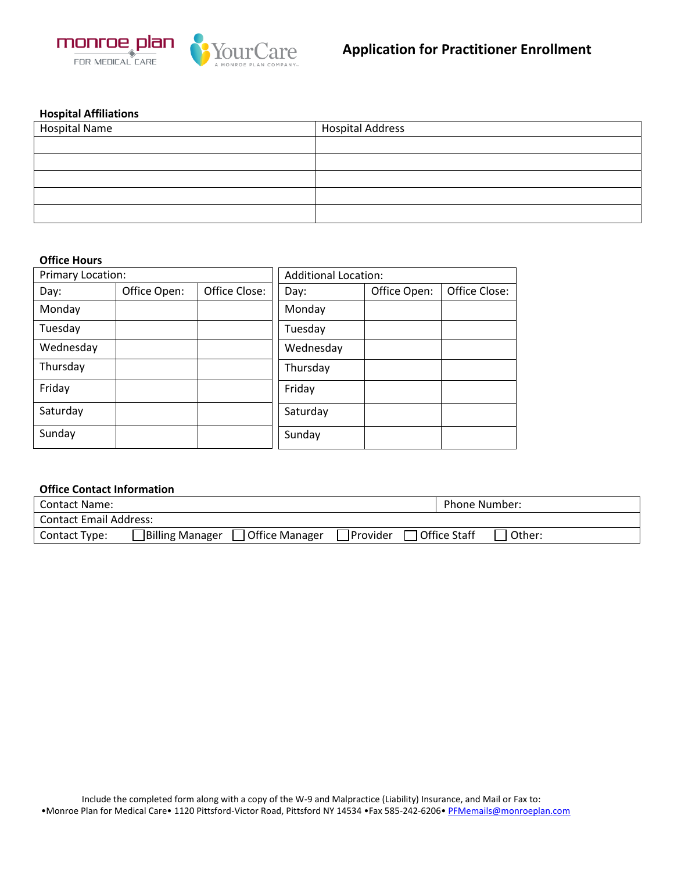

## **Hospital Affiliations**

| <b>Hospital Name</b> | <b>Hospital Address</b> |
|----------------------|-------------------------|
|                      |                         |
|                      |                         |
|                      |                         |
|                      |                         |
|                      |                         |

#### **Office Hours**

| Primary Location: |              |               | <b>Additional Location:</b> |              |               |
|-------------------|--------------|---------------|-----------------------------|--------------|---------------|
| Day:              | Office Open: | Office Close: | Day:                        | Office Open: | Office Close: |
| Monday            |              |               | Monday                      |              |               |
| Tuesday           |              |               | Tuesday                     |              |               |
| Wednesday         |              |               | Wednesday                   |              |               |
| Thursday          |              |               | Thursday                    |              |               |
| Friday            |              |               | Friday                      |              |               |
| Saturday          |              |               | Saturday                    |              |               |
| Sunday            |              |               | Sunday                      |              |               |

### **Office Contact Information**

| <b>Contact Name:</b>          |                        |                |           |                | Phone Number: |  |
|-------------------------------|------------------------|----------------|-----------|----------------|---------------|--|
| <b>Contact Email Address:</b> |                        |                |           |                |               |  |
| Contact Type:                 | <b>Billing Manager</b> | Office Manager | TProvider | □ Office Staff | Other:        |  |